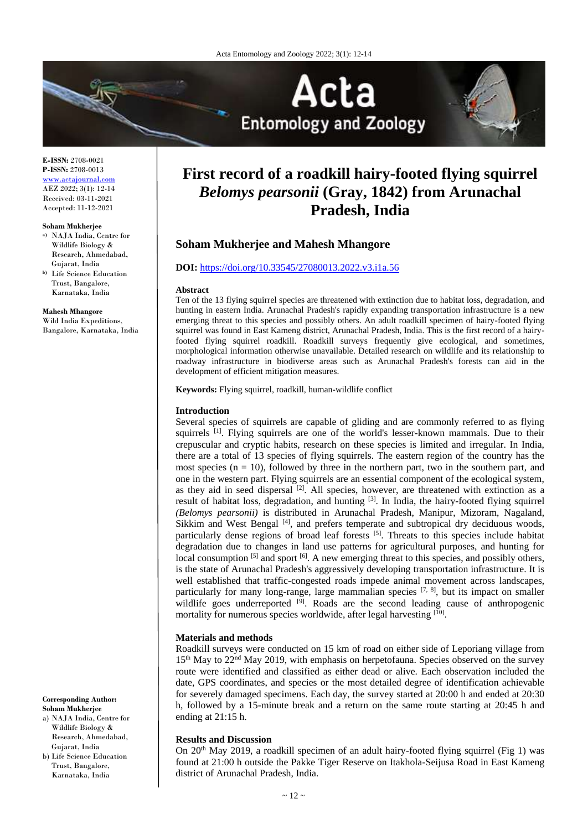



**E-ISSN:** 2708-0021 **P-ISSN:** 2708-0013 <www.actajournal.com> AEZ 2022; 3(1): 12-14 Received: 03-11-2021 Accepted: 11-12-2021

#### **Soham Mukherjee**

- **a)** NAJA India, Centre for Wildlife Biology & Research, Ahmedabad, Gujarat, India **b)** Life Science Education
- Trust, Bangalore, Karnataka, India

**Mahesh Mhangore**

Wild India Expeditions, Bangalore, Karnataka, India

**Corresponding Author: Soham Mukherjee**

a) NAJA India, Centre for Wildlife Biology & Research, Ahmedabad, Gujarat, India b) Life Science Education

Trust, Bangalore, Karnataka, India

# **First record of a roadkill hairy-footed flying squirrel**  *Belomys pearsonii* **(Gray, 1842) from Arunachal Pradesh, India**

# **Soham Mukherjee and Mahesh Mhangore**

#### **DOI:** <https://doi.org/10.33545/27080013.2022.v3.i1a.56>

#### **Abstract**

Ten of the 13 flying squirrel species are threatened with extinction due to habitat loss, degradation, and hunting in eastern India. Arunachal Pradesh's rapidly expanding transportation infrastructure is a new emerging threat to this species and possibly others. An adult roadkill specimen of hairy-footed flying squirrel was found in East Kameng district, Arunachal Pradesh, India. This is the first record of a hairyfooted flying squirrel roadkill. Roadkill surveys frequently give ecological, and sometimes, morphological information otherwise unavailable. Detailed research on wildlife and its relationship to roadway infrastructure in biodiverse areas such as Arunachal Pradesh's forests can aid in the development of efficient mitigation measures.

**Keywords:** Flying squirrel, roadkill, human-wildlife conflict

#### **Introduction**

Several species of squirrels are capable of gliding and are commonly referred to as flying squirrels <sup>[1]</sup>. Flying squirrels are one of the world's lesser-known mammals. Due to their crepuscular and cryptic habits, research on these species is limited and irregular. In India, there are a total of 13 species of flying squirrels. The eastern region of the country has the most species ( $n = 10$ ), followed by three in the northern part, two in the southern part, and one in the western part. Flying squirrels are an essential component of the ecological system, as they aid in seed dispersal <sup>[2]</sup>. All species, however, are threatened with extinction as a result of habitat loss, degradation, and hunting [3]. In India, the hairy-footed flying squirrel *(Belomys pearsonii)* is distributed in Arunachal Pradesh, Manipur, Mizoram, Nagaland, Sikkim and West Bengal [4], and prefers temperate and subtropical dry deciduous woods, particularly dense regions of broad leaf forests [5]. Threats to this species include habitat degradation due to changes in land use patterns for agricultural purposes, and hunting for local consumption <sup>[5]</sup> and sport <sup>[6]</sup>. A new emerging threat to this species, and possibly others, is the state of Arunachal Pradesh's aggressively developing transportation infrastructure. It is well established that traffic-congested roads impede animal movement across landscapes, particularly for many long-range, large mammalian species  $[7, 8]$ , but its impact on smaller wildlife goes underreported <sup>[9]</sup>. Roads are the second leading cause of anthropogenic mortality for numerous species worldwide, after legal harvesting [10].

#### **Materials and methods**

Roadkill surveys were conducted on 15 km of road on either side of Leporiang village from 15th May to 22nd May 2019, with emphasis on herpetofauna. Species observed on the survey route were identified and classified as either dead or alive. Each observation included the date, GPS coordinates, and species or the most detailed degree of identification achievable for severely damaged specimens. Each day, the survey started at 20:00 h and ended at 20:30 h, followed by a 15-minute break and a return on the same route starting at 20:45 h and ending at 21:15 h.

## **Results and Discussion**

On  $20<sup>th</sup>$  May 2019, a roadkill specimen of an adult hairy-footed flying squirrel (Fig 1) was found at 21:00 h outside the Pakke Tiger Reserve on Itakhola-Seijusa Road in East Kameng district of Arunachal Pradesh, India.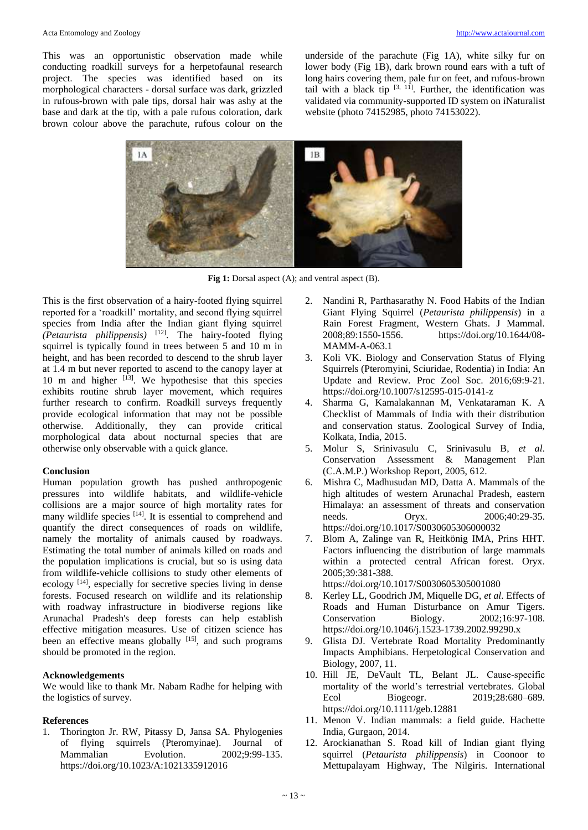This was an opportunistic observation made while conducting roadkill surveys for a herpetofaunal research project. The species was identified based on its morphological characters - dorsal surface was dark, grizzled in rufous-brown with pale tips, dorsal hair was ashy at the base and dark at the tip, with a pale rufous coloration, dark brown colour above the parachute, rufous colour on the underside of the parachute (Fig 1A), white silky fur on lower body (Fig 1B), dark brown round ears with a tuft of long hairs covering them, pale fur on feet, and rufous-brown tail with a black tip  $[3, 11]$ . Further, the identification was validated via community-supported ID system on iNaturalist website (photo 74152985, photo 74153022).



**Fig 1:** Dorsal aspect (A); and ventral aspect (B).

This is the first observation of a hairy-footed flying squirrel reported for a 'roadkill' mortality, and second flying squirrel species from India after the Indian giant flying squirrel *(Petaurista philippensis)* [12]. The hairy-footed flying squirrel is typically found in trees between 5 and 10 m in height, and has been recorded to descend to the shrub layer at 1.4 m but never reported to ascend to the canopy layer at 10 m and higher [13]. We hypothesise that this species exhibits routine shrub layer movement, which requires further research to confirm. Roadkill surveys frequently provide ecological information that may not be possible otherwise. Additionally, they can provide critical morphological data about nocturnal species that are otherwise only observable with a quick glance.

#### **Conclusion**

Human population growth has pushed anthropogenic pressures into wildlife habitats, and wildlife-vehicle collisions are a major source of high mortality rates for many wildlife species [14]. It is essential to comprehend and quantify the direct consequences of roads on wildlife, namely the mortality of animals caused by roadways. Estimating the total number of animals killed on roads and the population implications is crucial, but so is using data from wildlife-vehicle collisions to study other elements of ecology [14], especially for secretive species living in dense forests. Focused research on wildlife and its relationship with roadway infrastructure in biodiverse regions like Arunachal Pradesh's deep forests can help establish effective mitigation measures. Use of citizen science has been an effective means globally <sup>[15]</sup>, and such programs should be promoted in the region.

## **Acknowledgements**

We would like to thank Mr. Nabam Radhe for helping with the logistics of survey.

## **References**

1. Thorington Jr. RW, Pitassy D, Jansa SA. Phylogenies of flying squirrels (Pteromyinae). Journal of Mammalian Evolution. 2002;9:99-135. https://doi.org/10.1023/A:1021335912016

- 2. Nandini R, Parthasarathy N. Food Habits of the Indian Giant Flying Squirrel (*Petaurista philippensis*) in a Rain Forest Fragment, Western Ghats. J Mammal. 2008;89:1550-1556. https://doi.org/10.1644/08- MAMM-A-063.1
- 3. Koli VK. Biology and Conservation Status of Flying Squirrels (Pteromyini, Sciuridae, Rodentia) in India: An Update and Review. Proc Zool Soc. 2016;69:9-21. https://doi.org/10.1007/s12595-015-0141-z
- 4. Sharma G, Kamalakannan M, Venkataraman K. A Checklist of Mammals of India with their distribution and conservation status. Zoological Survey of India, Kolkata, India, 2015.
- 5. Molur S, Srinivasulu C, Srinivasulu B, *et al*. Conservation Assessment & Management Plan (C.A.M.P.) Workshop Report, 2005, 612.
- 6. Mishra C, Madhusudan MD, Datta A. Mammals of the high altitudes of western Arunachal Pradesh, eastern Himalaya: an assessment of threats and conservation needs. Oryx. 2006;40:29-35. https://doi.org/10.1017/S0030605306000032
- 7. Blom A, Zalinge van R, Heitkönig IMA, Prins HHT. Factors influencing the distribution of large mammals within a protected central African forest. Oryx. 2005;39:381-388. https://doi.org/10.1017/S0030605305001080
- 8. Kerley LL, Goodrich JM, Miquelle DG, *et al*. Effects of Roads and Human Disturbance on Amur Tigers. Conservation Biology. 2002;16:97-108. https://doi.org/10.1046/j.1523-1739.2002.99290.x
- 9. Glista DJ. Vertebrate Road Mortality Predominantly Impacts Amphibians. Herpetological Conservation and Biology, 2007, 11.
- 10. Hill JE, DeVault TL, Belant JL. Cause‐specific mortality of the world's terrestrial vertebrates. Global<br>Ecol Biogeogr. 2019;28:680-689. Ecol Biogeogr. 2019;28:680–689. https://doi.org/10.1111/geb.12881
- 11. Menon V. Indian mammals: a field guide. Hachette India, Gurgaon, 2014.
- 12. Arockianathan S. Road kill of Indian giant flying squirrel (*Petaurista philippensis*) in Coonoor to Mettupalayam Highway, The Nilgiris. International